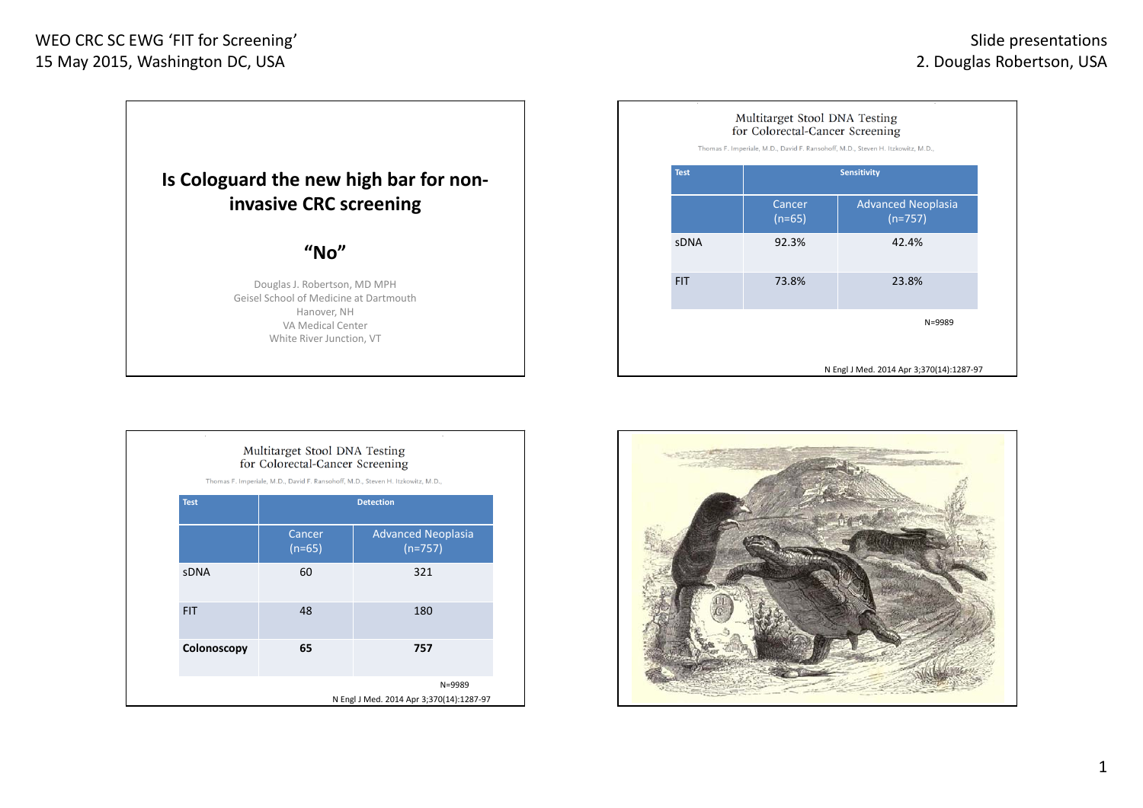## WEO CRC SC EWG 'FIT for Screening' 15 May 2015, Washington DC, USA



| Multitarget Stool DNA Testing   |  |
|---------------------------------|--|
| for Colorectal-Cancer Screening |  |

Thomas F. Imperiale, M.D., David F. Ransohoff, M.D., Steven H. Itzkowitz, M.D.,

| <b>Test</b> | <b>Detection</b>   |                                          |  |  |
|-------------|--------------------|------------------------------------------|--|--|
|             | Cancer<br>$(n=65)$ | <b>Advanced Neoplasia</b><br>$(n=757)$   |  |  |
| <b>sDNA</b> | 60                 | 321                                      |  |  |
| <b>FIT</b>  | 48                 | 180                                      |  |  |
| Colonoscopy | 65                 | 757                                      |  |  |
|             |                    | N=9989                                   |  |  |
|             |                    | N Engl J Med. 2014 Apr 3;370(14):1287-97 |  |  |

| Multitarget Stool DNA Testing<br>for Colorectal-Cancer Screening<br>Thomas F. Imperiale, M.D., David F. Ransohoff, M.D., Steven H. Itzkowitz, M.D., |                    |                                          |  |  |
|-----------------------------------------------------------------------------------------------------------------------------------------------------|--------------------|------------------------------------------|--|--|
| <b>Test</b>                                                                                                                                         | <b>Sensitivity</b> |                                          |  |  |
|                                                                                                                                                     | Cancer<br>$(n=65)$ | <b>Advanced Neoplasia</b><br>$(n=757)$   |  |  |
| <b>SDNA</b>                                                                                                                                         | 92.3%              | 42.4%                                    |  |  |
| <b>FIT</b>                                                                                                                                          | 73.8%              | 23.8%                                    |  |  |
|                                                                                                                                                     |                    | $N = 9989$                               |  |  |
|                                                                                                                                                     |                    | N Engl J Med. 2014 Apr 3;370(14):1287-97 |  |  |

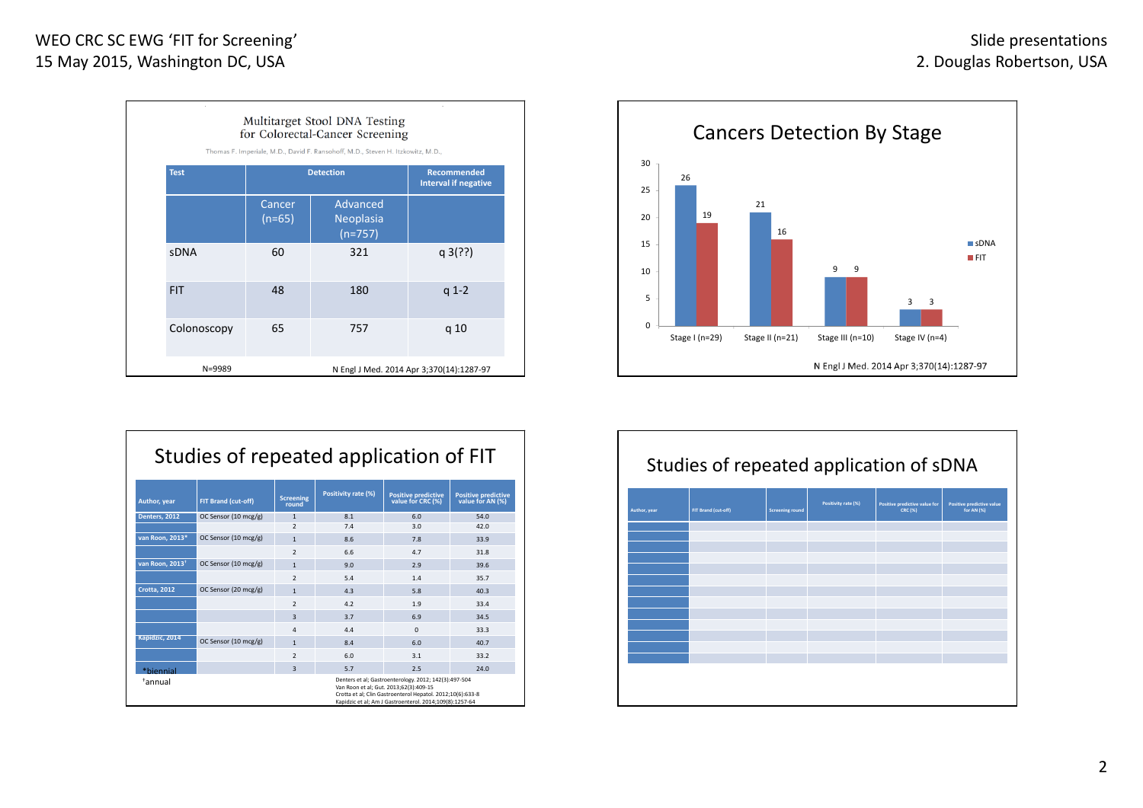| Multitarget Stool DNA Testing<br>for Colorectal-Cancer Screening<br>Thomas F. Imperiale, M.D., David F. Ransohoff, M.D., Steven H. Itzkowitz, M.D., |                    |                                                   |                                          |  |  |
|-----------------------------------------------------------------------------------------------------------------------------------------------------|--------------------|---------------------------------------------------|------------------------------------------|--|--|
| <b>Test</b>                                                                                                                                         | <b>Detection</b>   | <b>Recommended</b><br><b>Interval if negative</b> |                                          |  |  |
|                                                                                                                                                     | Cancer<br>$(n=65)$ | Advanced<br>Neoplasia<br>$(n=757)$                |                                          |  |  |
| <b>sDNA</b>                                                                                                                                         | 60                 | 321                                               | q3(?)                                    |  |  |
| <b>FIT</b>                                                                                                                                          | 48                 | 180                                               | $q 1-2$                                  |  |  |
| Colonoscopy                                                                                                                                         | 65                 | 757                                               | q 10                                     |  |  |
| $N = 9989$                                                                                                                                          |                    |                                                   | N Engl J Med. 2014 Apr 3;370(14):1287-97 |  |  |

|                             | Studies of repeated application of FIT |                           |                     |                                                                                                                                                                                                                          |                                                |
|-----------------------------|----------------------------------------|---------------------------|---------------------|--------------------------------------------------------------------------------------------------------------------------------------------------------------------------------------------------------------------------|------------------------------------------------|
| Author, year                | FIT Brand (cut-off)                    | <b>Screening</b><br>round | Positivity rate (%) | <b>Positive predictive</b><br>value for CRC (%)                                                                                                                                                                          | <b>Positive predictive</b><br>value for AN (%) |
| Denters, 2012               | OC Sensor (10 mcg/g)                   | $\mathbf{1}$              | 8.1                 | 6.0                                                                                                                                                                                                                      | 54.0                                           |
|                             |                                        | $\overline{2}$            | 7.4                 | 3.0                                                                                                                                                                                                                      | 42.0                                           |
| van Roon. 2013*             | OC Sensor (10 mcg/g)                   | $\mathbf{1}$              | 8.6                 | 7.8                                                                                                                                                                                                                      | 33.9                                           |
|                             |                                        | $\overline{\mathbf{z}}$   | 6.6                 | 4.7                                                                                                                                                                                                                      | 31.8                                           |
| van Roon. 2013 <sup>+</sup> | OC Sensor (10 mcg/g)                   | $\mathbf{1}$              | 9.0                 | 2.9                                                                                                                                                                                                                      | 39.6                                           |
|                             |                                        | $\overline{2}$            | 5.4                 | 1.4                                                                                                                                                                                                                      | 35.7                                           |
| <b>Crotta, 2012</b>         | OC Sensor (20 mcg/g)                   | $\mathbf{1}$              | 4.3                 | 5.8                                                                                                                                                                                                                      | 40.3                                           |
|                             |                                        | $\overline{2}$            | 4.2                 | 1.9                                                                                                                                                                                                                      | 33.4                                           |
|                             |                                        | 3                         | 3.7                 | 6.9                                                                                                                                                                                                                      | 34.5                                           |
|                             |                                        | $\overline{4}$            | 4.4                 | $\Omega$                                                                                                                                                                                                                 | 33.3                                           |
| Kapidzic, 2014              | OC Sensor (10 mcg/g)                   | $\mathbf{1}$              | 8.4                 | 6.0                                                                                                                                                                                                                      | 40.7                                           |
|                             |                                        | $\overline{2}$            | 6.0                 | 3.1                                                                                                                                                                                                                      | 33.2                                           |
| *hiennial                   |                                        | $\overline{3}$            | 5.7                 | 2.5                                                                                                                                                                                                                      | 24.0                                           |
| <sup>+</sup> annual         |                                        |                           |                     | Denters et al; Gastroenterology. 2012; 142(3):497-504<br>Van Roon et al; Gut. 2013;62(3):409-15<br>Crotta et al: Clin Gastroenterol Hepatol, 2012:10(6):633-8<br>Kapidzic et al; Am J Gastroenterol. 2014;109(8):1257-64 |                                                |



|              | Studies of repeated application of sDNA |                        |                     |                                                 |                                         |
|--------------|-----------------------------------------|------------------------|---------------------|-------------------------------------------------|-----------------------------------------|
| Author, year | FIT Brand (cut-off)                     | <b>Screening round</b> | Positivity rate (%) | Positive predictive value for<br><b>CRC (%)</b> | Positive predictive value<br>for AN (%) |
|              |                                         |                        |                     |                                                 |                                         |
|              |                                         |                        |                     |                                                 |                                         |
|              |                                         |                        |                     |                                                 |                                         |
|              |                                         |                        |                     |                                                 |                                         |
|              |                                         |                        |                     |                                                 |                                         |
|              |                                         |                        |                     |                                                 |                                         |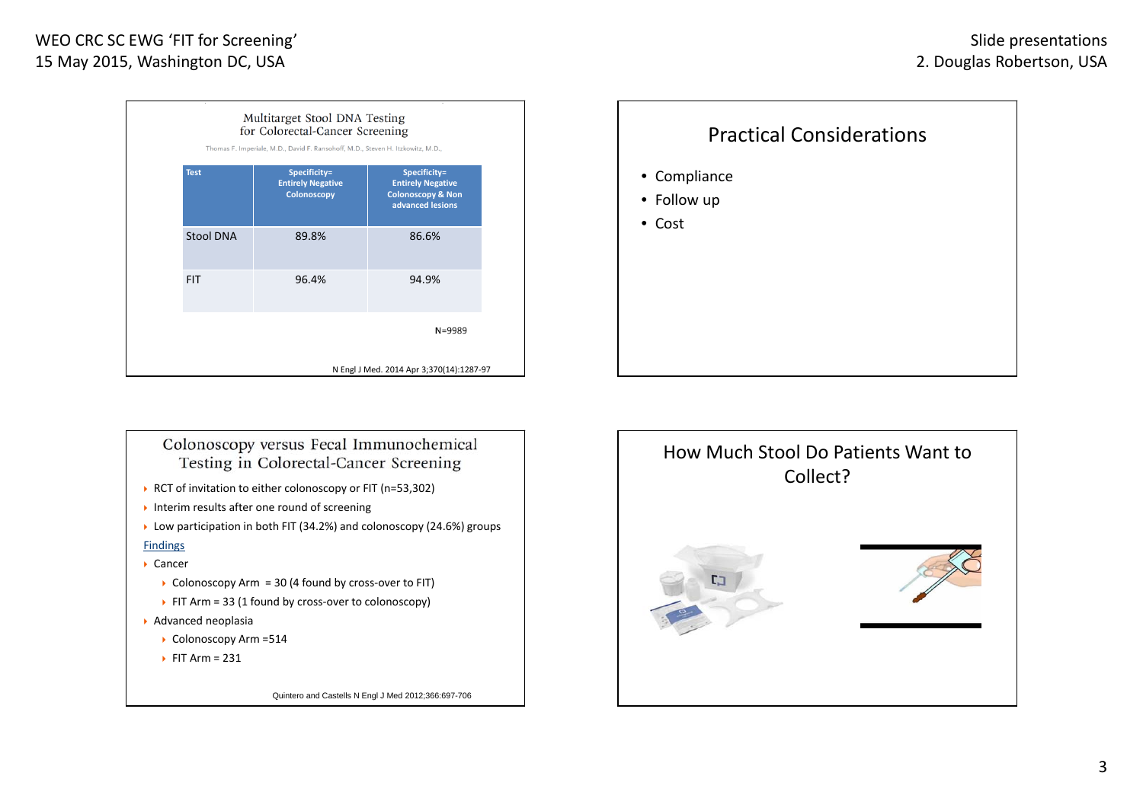

# Practical Considerations• Compliance • Follow up • Cost

### Colonoscopy versus Fecal Immunochemical Testing in Colorectal-Cancer Screening

- ▶ RCT of invitation to either colonoscopy or FIT (n=53,302)
- Interim results after one round of screening
- $\triangleright$  Low participation in both FIT (34.2%) and colonoscopy (24.6%) groups

#### Findings

- Cancer
	- Colonoscopy Arm = 30 (4 found by cross-over to FIT)
- FIT Arm = 33 (1 found by cross-over to colonoscopy)
- Advanced neoplasia
	- Colonoscopy Arm = 514
	- $\triangleright$  FIT Arm = 231

Quintero and Castells N Engl J Med 2012;366:697-706

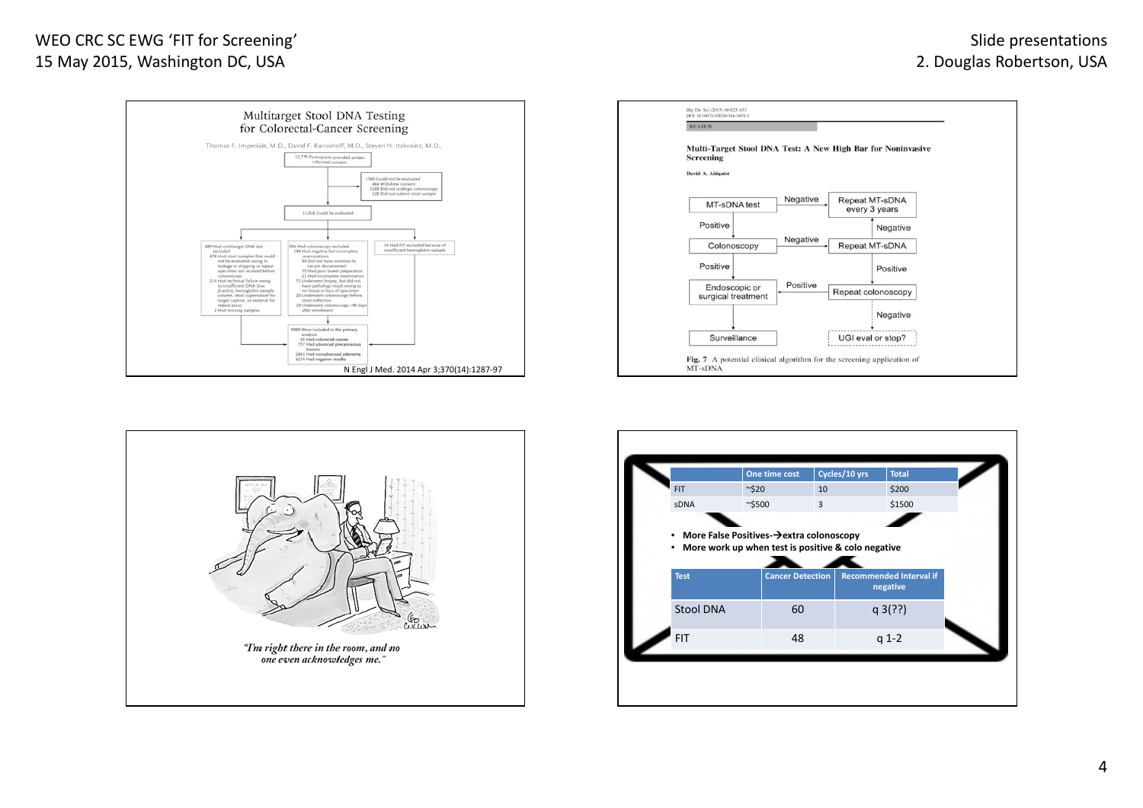## WEO CRC SC EWG 'FIT for Screening' 15 May 2015, Washington DC, USA